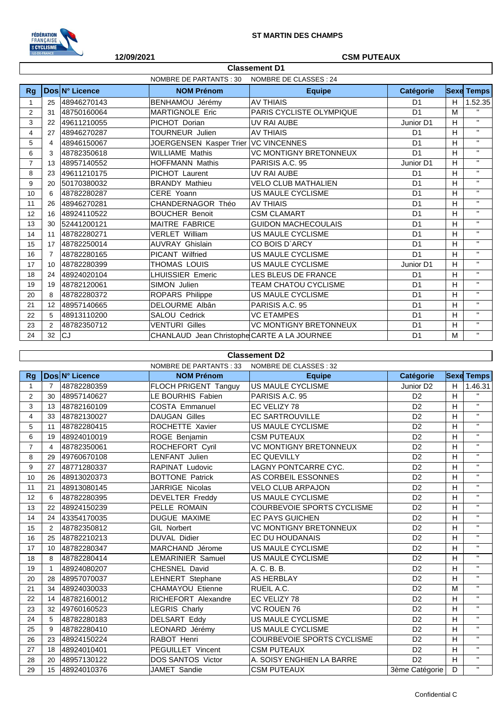

## **12/09/2021 CSM PUTEAUX**

|                | <b>Classement D1</b>                              |                |                                             |                               |                |    |                   |  |  |
|----------------|---------------------------------------------------|----------------|---------------------------------------------|-------------------------------|----------------|----|-------------------|--|--|
|                | NOMBRE DE PARTANTS : 30<br>NOMBRE DE CLASSES : 24 |                |                                             |                               |                |    |                   |  |  |
| <b>Rg</b>      |                                                   | Dos N° Licence | <b>NOM Prénom</b>                           | <b>Equipe</b>                 | Catégorie      |    | <b>Sexe Temps</b> |  |  |
| 1              | 25                                                | 48946270143    | BENHAMOU Jérémy                             | <b>AV THIAIS</b>              | D <sub>1</sub> | H. | 1.52.35           |  |  |
| 2              | 31                                                | 48750160064    | <b>MARTIGNOLE Eric</b>                      | PARIS CYCLISTE OLYMPIQUE      | D <sub>1</sub> | M  |                   |  |  |
| 3              | 22                                                | 49611210055    | PICHOT Dorian                               | UV RAI AUBE                   | Junior D1<br>H |    | $\mathbf{H}$      |  |  |
| 4              | 27                                                | 48946270287    | <b>TOURNEUR Julien</b>                      | <b>AV THIAIS</b>              | D <sub>1</sub> | H  | $\mathbf{H}$      |  |  |
| 5              | 4                                                 | 48946150067    | JOERGENSEN Kasper Trier   VC VINCENNES      |                               | D <sub>1</sub> | H  | $\mathbf{H}$      |  |  |
| 6              | 3                                                 | 48782350618    | <b>WILLIAME Mathis</b>                      | <b>VC MONTIGNY BRETONNEUX</b> | D <sub>1</sub> | H  | $\mathbf{H}$      |  |  |
| $\overline{7}$ | 13                                                | 48957140552    | HOFFMANN Mathis                             | PARISIS A.C. 95               | Junior D1      | H  | $\mathbf{H}$      |  |  |
| 8              | 23                                                | 49611210175    | PICHOT Laurent                              | UV RAI AUBE                   | D <sub>1</sub> | H  | $\mathbf{H}$      |  |  |
| 9              | 20                                                | 50170380032    | <b>BRANDY Mathieu</b>                       | <b>VELO CLUB MATHALIEN</b>    | D <sub>1</sub> | H  | $\mathbf{H}$      |  |  |
| 10             | 6                                                 | 48782280287    | CERE Yoann                                  | US MAULE CYCLISME             | D <sub>1</sub> | H  | $\mathbf{H}$      |  |  |
| 11             | 26                                                | 48946270281    | CHANDERNAGOR Théo                           | <b>AV THIAIS</b>              | D <sub>1</sub> | H  | $\mathbf{H}$      |  |  |
| 12             | 16                                                | 48924110522    | <b>BOUCHER Benoit</b>                       | <b>CSM CLAMART</b>            | D <sub>1</sub> | H  | $\mathbf{H}$      |  |  |
| 13             | 30                                                | 52441200121    | <b>MAITRE FABRICE</b>                       | <b>GUIDON MACHECOULAIS</b>    | D <sub>1</sub> | H  | $\mathbf{H}$      |  |  |
| 14             | 11                                                | 48782280271    | <b>VERLET William</b>                       | US MAULE CYCLISME             | D <sub>1</sub> | H  | $\mathbf{H}$      |  |  |
| 15             | 17                                                | 48782250014    | <b>AUVRAY Ghislain</b>                      | CO BOIS D'ARCY                | D <sub>1</sub> | H  | $\mathbf{H}$      |  |  |
| 16             | 7                                                 | 48782280165    | <b>PICANT Wilfried</b>                      | US MAULE CYCLISME             | D <sub>1</sub> | H  | $\mathbf{H}$      |  |  |
| 17             | 10                                                | 48782280399    | THOMAS LOUIS                                | US MAULE CYCLISME             | Junior D1      | H  | $\mathbf{H}$      |  |  |
| 18             | 24                                                | 48924020104    | LHUISSIER Emeric                            | LES BLEUS DE FRANCE           | D <sub>1</sub> | H  | $\mathbf{H}$      |  |  |
| 19             | 19                                                | 48782120061    | SIMON Julien                                | <b>TEAM CHATOU CYCLISME</b>   | D <sub>1</sub> | H  | $\mathbf{H}$      |  |  |
| 20             | 8                                                 | 48782280372    | ROPARS Philippe                             | <b>US MAULE CYCLISME</b>      | D <sub>1</sub> | H  | $\mathbf{H}$      |  |  |
| 21             | 12                                                | 48957140665    | DELOURME Albân                              | PARISIS A.C. 95               | D <sub>1</sub> | H  | $\mathbf{H}$      |  |  |
| 22             | 5                                                 | 48913110200    | SALOU Cedrick                               | <b>VC ETAMPES</b>             | D <sub>1</sub> | H  | $\mathbf{H}$      |  |  |
| 23             | $\overline{2}$                                    | 48782350712    | <b>VENTURI Gilles</b>                       | <b>VC MONTIGNY BRETONNEUX</b> | D <sub>1</sub> | H. | $\mathbf{H}$      |  |  |
| 24             | 32                                                | CJ             | CHANLAUD Jean Christophe CARTE A LA JOURNEE |                               | D <sub>1</sub> | M  | $\mathbf{H}$      |  |  |

## **Classement D2**

|                | NOMBRE DE PARTANTS : 33<br>NOMBRE DE CLASSES : 32 |                |                            |                                                 |                       |   |                    |
|----------------|---------------------------------------------------|----------------|----------------------------|-------------------------------------------------|-----------------------|---|--------------------|
| Rg             |                                                   | Dos N° Licence | <b>NOM Prénom</b>          | <b>Equipe</b>                                   | Catégorie             |   | <b>Sexe Temps</b>  |
| $\mathbf{1}$   | $\overline{7}$                                    | 48782280359    | FLOCH PRIGENT Tanguy       | US MAULE CYCLISME                               | Junior D <sub>2</sub> | H | 1.46.31            |
| 2              | 30                                                | 48957140627    | LE BOURHIS Fabien          | PARISIS A.C. 95                                 | D <sub>2</sub>        | H | $\mathbf{H}$       |
| 3              | 13                                                | 48782160109    | <b>COSTA Emmanuel</b>      | EC VELIZY 78                                    | D <sub>2</sub>        | Η | $\mathbf{H}$       |
| $\overline{4}$ | 33                                                | 48782130027    | <b>DAUGAN Gilles</b>       | <b>EC SARTROUVILLE</b>                          | D <sub>2</sub>        | н | $\mathbf{H}$       |
| 5              | 11                                                | 48782280415    | ROCHETTE Xavier            | US MAULE CYCLISME                               | D <sub>2</sub>        | н | $\mathbf{H}$       |
| 6              | 19                                                | 48924010019    | ROGE Benjamin              | <b>CSM PUTEAUX</b>                              | D <sub>2</sub>        | H | $\mathbf{H}$       |
| $\overline{7}$ | 4                                                 | 48782350061    | ROCHEFORT Cyril            | VC MONTIGNY BRETONNEUX                          | D <sub>2</sub>        | H | $\mathbf{H}$       |
| 8              | 29                                                | 49760670108    | <b>LENFANT Julien</b>      | <b>EC QUEVILLY</b>                              | D <sub>2</sub>        | H | $\mathbf{H}$       |
| 9              | 27                                                | 48771280337    | <b>RAPINAT Ludovic</b>     | <b>LAGNY PONTCARRE CYC.</b>                     | D <sub>2</sub>        | H | $\mathbf{H}$       |
| 10             | 26                                                | 48913020373    | <b>BOTTONE Patrick</b>     | AS CORBEIL ESSONNES                             | D <sub>2</sub>        | H | $\mathbf{H}$       |
| 11             | 21                                                | 48913080145    | JARRIGE Nicolas            | <b>VELO CLUB ARPAJON</b>                        | D <sub>2</sub>        | H | $\bar{\mathbf{H}}$ |
| 12             | 6                                                 | 48782280395    | <b>DEVELTER Freddy</b>     | US MAULE CYCLISME                               | D <sub>2</sub>        | H | $\mathbf{H}$       |
| 13             | 22                                                | 48924150239    | PELLE ROMAIN               | COURBEVOIE SPORTS CYCLISME                      | D <sub>2</sub>        | H | $\mathbf{H}$       |
| 14             | 24                                                | 43354170035    | DUGUE MAXIME               | <b>EC PAYS GUICHEN</b>                          | D <sub>2</sub>        | H | $\mathbf{H}$       |
| 15             | 2                                                 | 48782350812    | <b>GIL Norbert</b>         | <b>VC MONTIGNY BRETONNEUX</b><br>D <sub>2</sub> |                       | Η | $\mathbf{H}$       |
| 16             | 25                                                | 48782210213    | <b>DUVAL Didier</b>        | EC DU HOUDANAIS                                 | D <sub>2</sub>        | н | $\mathbf{H}$       |
| 17             | 10 <sup>1</sup>                                   | 48782280347    | MARCHAND Jérome            | US MAULE CYCLISME                               | D <sub>2</sub>        | н | $\mathbf{H}$       |
| 18             | 8                                                 | 48782280414    | LEMARINIER Samuel          | US MAULE CYCLISME                               | D <sub>2</sub>        | H | $\mathbf{H}$       |
| 19             |                                                   | 48924080207    | CHESNEL David              | A. C. B. B.                                     | D <sub>2</sub>        | H | $\mathbf{H}$       |
| 20             | 28                                                | 48957070037    | <b>LEHNERT Stephane</b>    | AS HERBLAY                                      | D <sub>2</sub>        | H | $\mathbf{H}$       |
| 21             | 34                                                | 48924030033    | <b>CHAMAYOU Etienne</b>    | RUEIL A.C.                                      | D <sub>2</sub>        | M | $\mathbf{H}$       |
| 22             | 14                                                | 48782160012    | <b>RICHEFORT Alexandre</b> | EC VELIZY 78                                    | D <sub>2</sub>        | н | $\mathbf{H}$       |
| 23             | 32                                                | 49760160523    | <b>LEGRIS Charly</b>       | <b>VC ROUEN 76</b>                              | D <sub>2</sub>        | Η | $\mathbf{H}$       |
| 24             | 5                                                 | 48782280183    | <b>DELSART Eddy</b>        | US MAULE CYCLISME                               | D <sub>2</sub>        | н | $\mathbf{H}$       |
| 25             | 9                                                 | 48782280410    | LEONARD Jérémy             | US MAULE CYCLISME                               | D <sub>2</sub>        | H | $\mathbf{H}$       |
| 26             | 23                                                | 48924150224    | RABOT Henri                | COURBEVOIE SPORTS CYCLISME                      | D <sub>2</sub>        | H | $\mathbf{H}$       |
| 27             | 18                                                | 48924010401    | <b>PEGUILLET Vincent</b>   | <b>CSM PUTEAUX</b>                              | D <sub>2</sub>        | H | $\mathbf{H}$       |
| 28             | 20                                                | 48957130122    | <b>DOS SANTOS Victor</b>   | A. SOISY ENGHIEN LA BARRE                       | D <sub>2</sub>        | H | $\mathbf{H}$       |
| 29             | 15                                                | 48924010376    | JAMET Sandie               | <b>CSM PUTEAUX</b>                              | 3ème Catégorie        | D | $\mathbf{H}$       |
|                |                                                   |                |                            |                                                 |                       |   |                    |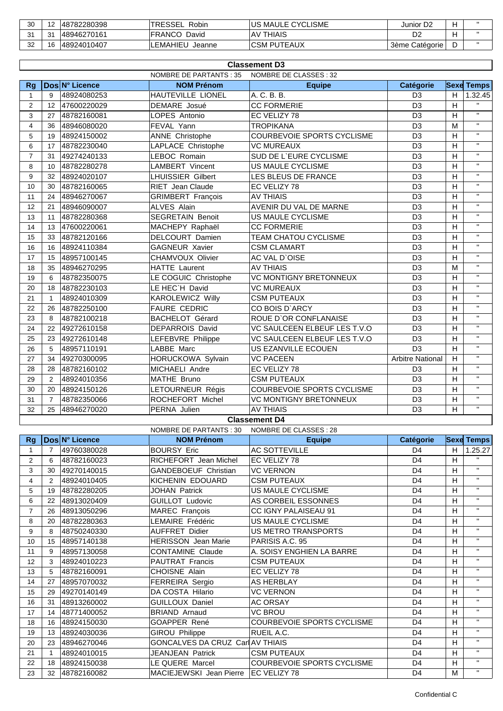| 30      | и.      | 48782280398  | <b>TRESSEL</b><br>Robin | US MAULE CYCLISME  | Junior D <sub>2</sub> |  |
|---------|---------|--------------|-------------------------|--------------------|-----------------------|--|
| 24<br>ັ | 24<br>ت | 48946270161  | <b>FRANCO</b><br>David  | <b>AV THIAIS</b>   | D2                    |  |
| 32      | $\sim$  | 148924010407 | LEMAHIEU<br>Jeanne      | <b>CSM PUTEAUX</b> | 3ème Catégorie        |  |

|                | <b>Classement D3</b> |                |                                                  |                                   |                         |   |                         |  |  |  |
|----------------|----------------------|----------------|--------------------------------------------------|-----------------------------------|-------------------------|---|-------------------------|--|--|--|
|                |                      |                | NOMBRE DE PARTANTS : 35                          | NOMBRE DE CLASSES : 32            |                         |   |                         |  |  |  |
| <b>Rg</b>      |                      | Dos N° Licence | <b>NOM Prénom</b>                                | <b>Equipe</b>                     | Catégorie               |   | <b>Sexe Temps</b>       |  |  |  |
| $\mathbf{1}$   | 9                    | 48924080253    | HAUTEVILLE LIONEL                                | A. C. B. B.                       | D <sub>3</sub>          | H | 1.32.45                 |  |  |  |
| $\overline{2}$ | 12                   | 47600220029    | DEMARE Josué                                     | <b>CC FORMERIE</b>                | D <sub>3</sub>          | H |                         |  |  |  |
| 3              | 27                   | 48782160081    | LOPES Antonio                                    | EC VELIZY 78                      | D <sub>3</sub>          | H | $\mathbf{H}$            |  |  |  |
| 4              | 36                   | 48946080020    | FEVAL Yann                                       | <b>TROPIKANA</b>                  | D <sub>3</sub>          | M | $\mathbf{H}$            |  |  |  |
| 5              | 19                   | 48924150002    | ANNE Christophe                                  | COURBEVOIE SPORTS CYCLISME        | D <sub>3</sub>          | H | $\mathbf{H}$            |  |  |  |
| 6              | 17                   | 48782230040    | LAPLACE Christophe                               | <b>VC MUREAUX</b>                 | D <sub>3</sub><br>H     |   | $\mathbf{H}$            |  |  |  |
| $\overline{7}$ | 31                   | 49274240133    | LEBOC Romain                                     | SUD DE L'EURE CYCLISME            | D <sub>3</sub>          | H | $\mathbf{H}$            |  |  |  |
| 8              | 10                   | 48782280278    | <b>LAMBERT Vincent</b>                           | US MAULE CYCLISME                 | D <sub>3</sub>          | H | $\mathbf{H}$            |  |  |  |
| 9              | 32                   | 48924020107    | <b>LHUISSIER Gilbert</b>                         | LES BLEUS DE FRANCE               | D <sub>3</sub>          | H | $\mathbf{H}$            |  |  |  |
| 10             | 30                   | 48782160065    | RIET Jean Claude                                 | EC VELIZY 78                      | D <sub>3</sub>          | H | $\overline{\mathbf{u}}$ |  |  |  |
| 11             | 24                   | 48946270067    | <b>GRIMBERT François</b>                         | <b>AV THIAIS</b>                  | D <sub>3</sub>          | H | $\overline{\mathbf{u}}$ |  |  |  |
| 12             | 21                   | 48946090007    | <b>ALVES Alain</b>                               | AVENIR DU VAL DE MARNE            | D <sub>3</sub>          | H | $\mathbf{H}$            |  |  |  |
| 13             | 11                   | 48782280368    | <b>SEGRETAIN Benoit</b>                          | US MAULE CYCLISME                 | D <sub>3</sub>          | H | $\mathbf{H}$            |  |  |  |
| 14             | 13                   | 47600220061    | MACHEPY Raphaël                                  | <b>CC FORMERIE</b>                | D <sub>3</sub>          | H | $\mathbf{H}$            |  |  |  |
| 15             | 33                   | 48782120166    | DELCOURT Damien                                  | TEAM CHATOU CYCLISME              | D <sub>3</sub>          | H | $\mathbf{H}$            |  |  |  |
| 16             | 16                   | 48924110384    | <b>GAGNEUR Xavier</b>                            | <b>CSM CLAMART</b>                | D <sub>3</sub>          | H | $\mathbf{H}$            |  |  |  |
| 17             | 15                   | 48957100145    | CHAMVOUX Olivier                                 | AC VAL D'OISE                     | D <sub>3</sub>          | H | $\mathbf{H}$            |  |  |  |
| 18             | 35                   | 48946270295    | <b>HATTE Laurent</b>                             | <b>AV THIAIS</b>                  | D <sub>3</sub>          | M | $\mathbf{H}$            |  |  |  |
| 19             | 6                    | 48782350075    | LE COGUIC Christophe                             | <b>VC MONTIGNY BRETONNEUX</b>     | D <sub>3</sub>          | H | $\mathbf{H}$            |  |  |  |
| 20             | 18                   | 48782230103    | LE HEC'H David                                   | <b>VC MUREAUX</b>                 | D <sub>3</sub>          | H | $\mathbf{H}$            |  |  |  |
| 21             | $\mathbf{1}$         | 48924010309    | <b>KAROLEWICZ Willy</b>                          | <b>CSM PUTEAUX</b>                | D <sub>3</sub>          | H | $\mathbf{H}$            |  |  |  |
| 22             | 26                   | 48782250100    | <b>FAURE CEDRIC</b>                              | CO BOIS D'ARCY                    | D <sub>3</sub>          | Н | $\mathbf{H}$            |  |  |  |
| 23             | 8                    | 48782100218    | <b>BACHELOT Gérard</b>                           | ROUE D'OR CONFLANAISE             | D <sub>3</sub>          | H | $\mathbf{H}$            |  |  |  |
| 24             | 22                   | 49272610158    | DEPARROIS David                                  | VC SAULCEEN ELBEUF LES T.V.O      | D <sub>3</sub>          | H | $\mathbf{H}$            |  |  |  |
| 25             | 23                   | 49272610148    | LEFEBVRE Philippe                                | VC SAULCEEN ELBEUF LES T.V.O      | D <sub>3</sub>          | H | $\mathbf{H}$            |  |  |  |
| 26             | 5                    | 48957110191    | LABBE Marc                                       | US EZANVILLE ECOUEN               | D <sub>3</sub>          | H | $\mathbf{H}$            |  |  |  |
| 27             | 34                   | 49270300095    | HORUCKOWA Sylvain                                | <b>VC PACEEN</b>                  | <b>Arbitre National</b> | H | $\mathbf{H}$            |  |  |  |
| 28             | 28                   | 48782160102    | MICHAELI Andre                                   | EC VELIZY 78                      | D <sub>3</sub>          | H | $\mathbf{H}$            |  |  |  |
| 29             | 2                    | 48924010356    | MATHE Bruno                                      | <b>CSM PUTEAUX</b>                | D <sub>3</sub>          | H | $\mathbf{H}$            |  |  |  |
| 30             | 20                   | 48924150126    | LETOURNEUR Régis                                 | <b>COURBEVOIE SPORTS CYCLISME</b> | D <sub>3</sub>          | H | $\mathbf{H}$            |  |  |  |
| 31             | $\overline{7}$       | 48782350066    | ROCHEFORT Michel                                 | <b>VC MONTIGNY BRETONNEUX</b>     | D <sub>3</sub>          | H | $\mathbf{H}$            |  |  |  |
| 32             | 25                   | 48946270020    | PERNA Julien                                     | <b>AV THIAIS</b>                  | D <sub>3</sub>          | H | $\mathbf{H}$            |  |  |  |
|                |                      |                | NOMIDDE DE DADTANTS : 20 NOMIDDE DE CLASSES : 20 | <b>Classement D4</b>              |                         |   |                         |  |  |  |

|                |    |                | NOMBRE DE PARTANTS : 30                | NOMBRE DE CLASSES : 28            |                |   |                   |
|----------------|----|----------------|----------------------------------------|-----------------------------------|----------------|---|-------------------|
| Rg             |    | Dos N° Licence | <b>NOM Prénom</b>                      | <b>Equipe</b>                     | Catégorie      |   | <b>Sexe Temps</b> |
|                | 7  | 49760380028    | <b>BOURSY Eric</b>                     | <b>AC SOTTEVILLE</b>              | D <sub>4</sub> | H | 1.25.27           |
| $\overline{2}$ | 6  | 48782160023    | RICHEFORT Jean Michel                  | EC VELIZY 78                      | D <sub>4</sub> |   | $\mathbf{H}$      |
| 3              | 30 | 49270140015    | <b>GANDEBOEUF Christian</b>            | <b>VC VERNON</b>                  | D <sub>4</sub> | н | $\mathbf{H}$      |
| 4              | 2  | 48924010405    | KICHENIN EDOUARD                       | <b>CSM PUTEAUX</b>                | D <sub>4</sub> | н | $\mathbf{H}$      |
| 5              | 19 | 48782280205    | <b>JOHAN Patrick</b>                   | US MAULE CYCLISME                 | D <sub>4</sub> | н | $\mathbf{H}$      |
| 6              | 22 | 48913020409    | <b>GUILLOT Ludovic</b>                 | AS CORBEIL ESSONNES               | D <sub>4</sub> | н | $\mathbf{H}$      |
| $\overline{7}$ | 26 | 48913050296    | MAREC François                         | <b>CC IGNY PALAISEAU 91</b>       | D <sub>4</sub> | н | $\mathbf{H}$      |
| 8              | 20 | 48782280363    | LEMAIRE Frédéric                       | US MAULE CYCLISME                 | D <sub>4</sub> | н | $\mathbf{H}$      |
| 9              | 8  | 48750240330    | <b>AUFFRET Didier</b>                  | <b>US METRO TRANSPORTS</b>        | D <sub>4</sub> | н | $\mathbf{H}$      |
| 10             | 15 | 48957140138    | <b>HERISSON</b> Jean Marie             | PARISIS A.C. 95                   | D <sub>4</sub> | н | $\mathbf{H}$      |
| 11             | 9  | 48957130058    | <b>CONTAMINE Claude</b>                | A. SOISY ENGHIEN LA BARRE         | D <sub>4</sub> | H | $\mathbf{H}$      |
| 12             | 3  | 48924010223    | <b>PAUTRAT Francis</b>                 | <b>CSM PUTEAUX</b>                | D <sub>4</sub> | н | $\mathbf{H}$      |
| 13             | 5  | 48782160091    | <b>CHOISNE Alain</b>                   | EC VELIZY 78                      | D <sub>4</sub> | н | $\mathbf{H}$      |
| 14             | 27 | 48957070032    | FERREIRA Sergio                        | AS HERBLAY                        | D <sub>4</sub> | H | $\mathbf{H}$      |
| 15             | 29 | 49270140149    | DA COSTA Hilario                       | <b>VC VERNON</b>                  | D <sub>4</sub> | н | $\mathbf{H}$      |
| 16             | 31 | 48913260002    | <b>GUILLOUX Daniel</b>                 | <b>AC ORSAY</b>                   | D <sub>4</sub> | Н | $\mathbf{H}$      |
| 17             | 14 | 48771400052    | <b>BRIAND Arnaud</b>                   | <b>VC BROU</b>                    | D <sub>4</sub> | н | $\mathbf{H}$      |
| 18             | 16 | 48924150030    | GOAPPER René                           | <b>COURBEVOIE SPORTS CYCLISME</b> | D <sub>4</sub> | н | $\mathbf{H}$      |
| 19             | 13 | 48924030036    | <b>GIROU Philippe</b>                  | RUEIL A.C.                        | D <sub>4</sub> | н | $\mathbf{H}$      |
| 20             | 23 | 48946270046    | GONCALVES DA CRUZ Carl AV THIAIS       |                                   | D <sub>4</sub> | н | $\mathbf{H}$      |
| 21             |    | 48924010015    | JEANJEAN Patrick                       | <b>CSM PUTEAUX</b>                | D <sub>4</sub> | H | $\mathbf{H}$      |
| 22             | 18 | 48924150038    | LE QUERE Marcel                        | COURBEVOIE SPORTS CYCLISME        | D <sub>4</sub> | н | $\mathbf{H}$      |
| 23             | 32 | 48782160082    | MACIEJEWSKI Jean Pierre   EC VELIZY 78 |                                   | D <sub>4</sub> | м | $\mathbf{H}$      |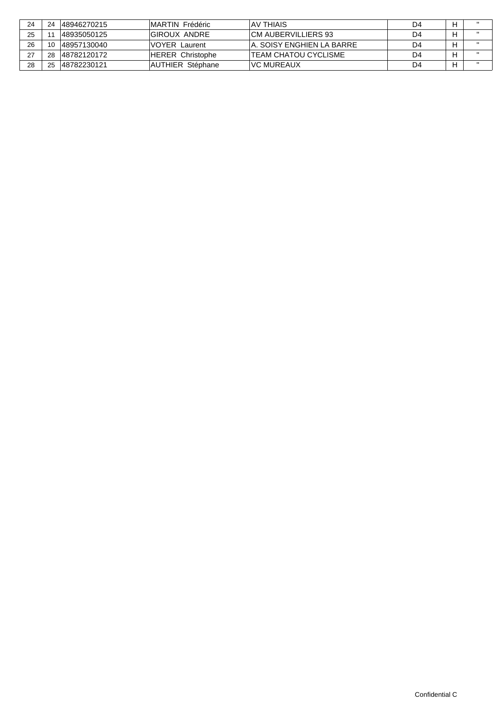| 24 |    | 148946270215 | IMARTIN Frédéric         | IAV THIAIS                  | D4 |  |
|----|----|--------------|--------------------------|-----------------------------|----|--|
| 25 |    | 48935050125  | IGIROUX ANDRE            | ICM AUBERVILLIERS 93        | D4 |  |
| 26 |    | 148957130040 | <b>IVOYER Laurent</b>    | IA. SOISY ENGHIEN LA BARRE  | D4 |  |
|    | 28 | 148782120172 | <b>HERER Christophe</b>  | <b>TEAM CHATOU CYCLISME</b> | D4 |  |
| 28 |    | 148782230121 | <b>IAUTHIER Stéphane</b> | IVC MUREAUX                 | D4 |  |